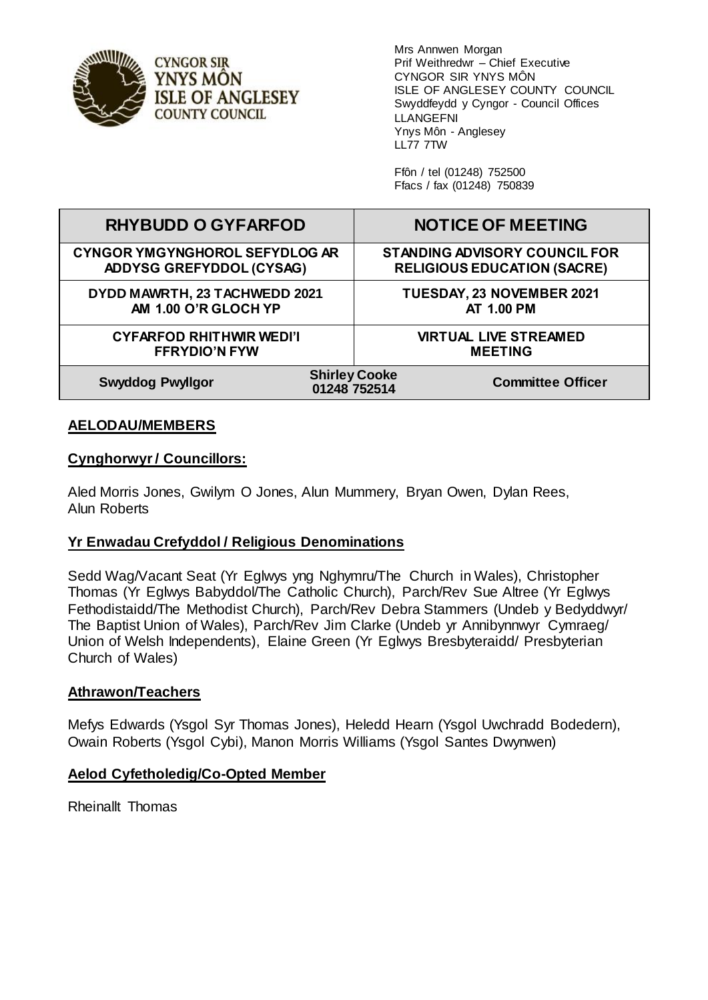

Mrs Annwen Morgan Prif Weithredwr – Chief Executive CYNGOR SIR YNYS MÔN ISLE OF ANGLESEY COUNTY COUNCIL Swyddfeydd y Cyngor - Council Offices LLANGEFNI Ynys Môn - Anglesey LL77 7TW

Ffôn / tel (01248) 752500 Ffacs / fax (01248) 750839

| <b>RHYBUDD O GYFARFOD</b>             | <b>NOTICE OF MEETING</b>                                         |
|---------------------------------------|------------------------------------------------------------------|
| <b>CYNGOR YMGYNGHOROL SEFYDLOG AR</b> | <b>STANDING ADVISORY COUNCIL FOR</b>                             |
| ADDYSG GREFYDDOL (CYSAG)              | <b>RELIGIOUS EDUCATION (SACRE)</b>                               |
| DYDD MAWRTH, 23 TACHWEDD 2021         | TUESDAY, 23 NOVEMBER 2021                                        |
| AM 1.00 O'R GLOCH YP                  | AT 1.00 PM                                                       |
| <b>CYFARFOD RHITHWIR WEDI'I</b>       | <b>VIRTUAL LIVE STREAMED</b>                                     |
| <b>FFRYDIO'N FYW</b>                  | <b>MEETING</b>                                                   |
| <b>Swyddog Pwyllgor</b>               | <b>Shirley Cooke</b><br><b>Committee Officer</b><br>01248 752514 |

### **AELODAU/MEMBERS**

#### **Cynghorwyr / Councillors:**

Aled Morris Jones, Gwilym O Jones, Alun Mummery, Bryan Owen, Dylan Rees, Alun Roberts

#### **Yr Enwadau Crefyddol / Religious Denominations**

Sedd Wag/Vacant Seat (Yr Eglwys yng Nghymru/The Church in Wales), Christopher Thomas (Yr Eglwys Babyddol/The Catholic Church), Parch/Rev Sue Altree (Yr Eglwys Fethodistaidd/The Methodist Church), Parch/Rev Debra Stammers (Undeb y Bedyddwyr/ The Baptist Union of Wales), Parch/Rev Jim Clarke (Undeb yr Annibynnwyr Cymraeg/ Union of Welsh Independents), Elaine Green (Yr Eglwys Bresbyteraidd/ Presbyterian Church of Wales)

#### **Athrawon/Teachers**

Mefys Edwards (Ysgol Syr Thomas Jones), Heledd Hearn (Ysgol Uwchradd Bodedern), Owain Roberts (Ysgol Cybi), Manon Morris Williams (Ysgol Santes Dwynwen)

#### **Aelod Cyfetholedig/Co-Opted Member**

Rheinallt Thomas